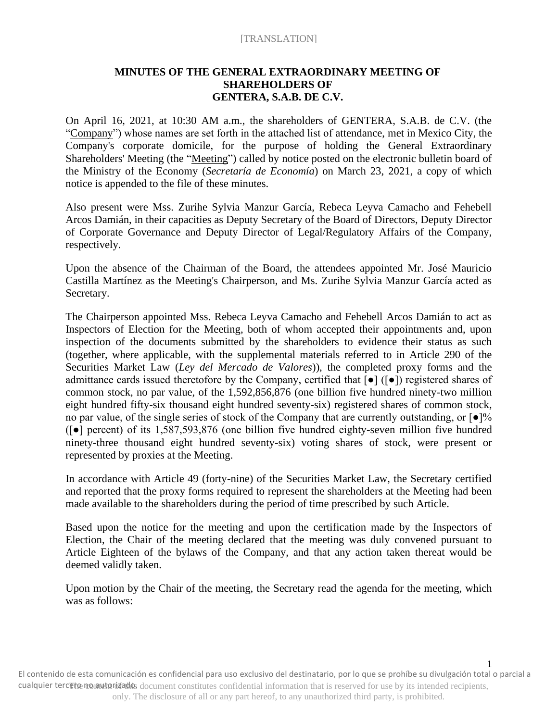# **MINUTES OF THE GENERAL EXTRAORDINARY MEETING OF SHAREHOLDERS OF GENTERA, S.A.B. DE C.V.**

On April 16, 2021, at 10:30 AM a.m., the shareholders of GENTERA, S.A.B. de C.V. (the "Company") whose names are set forth in the attached list of attendance, met in Mexico City, the Company's corporate domicile, for the purpose of holding the General Extraordinary Shareholders' Meeting (the "Meeting") called by notice posted on the electronic bulletin board of the Ministry of the Economy (*Secretaría de Economía*) on March 23, 2021, a copy of which notice is appended to the file of these minutes.

Also present were Mss. Zurihe Sylvia Manzur García, Rebeca Leyva Camacho and Fehebell Arcos Damián, in their capacities as Deputy Secretary of the Board of Directors, Deputy Director of Corporate Governance and Deputy Director of Legal/Regulatory Affairs of the Company, respectively.

Upon the absence of the Chairman of the Board, the attendees appointed Mr. José Mauricio Castilla Martínez as the Meeting's Chairperson, and Ms. Zurihe Sylvia Manzur García acted as Secretary.

The Chairperson appointed Mss. Rebeca Leyva Camacho and Fehebell Arcos Damián to act as Inspectors of Election for the Meeting, both of whom accepted their appointments and, upon inspection of the documents submitted by the shareholders to evidence their status as such (together, where applicable, with the supplemental materials referred to in Article 290 of the Securities Market Law (*Ley del Mercado de Valores*)), the completed proxy forms and the admittance cards issued theretofore by the Company, certified that [●] ([●]) registered shares of common stock, no par value, of the 1,592,856,876 (one billion five hundred ninety-two million eight hundred fifty-six thousand eight hundred seventy-six) registered shares of common stock, no par value, of the single series of stock of the Company that are currently outstanding, or  $\lceil \bullet \rceil\%$ ([●] percent) of its 1,587,593,876 (one billion five hundred eighty-seven million five hundred ninety-three thousand eight hundred seventy-six) voting shares of stock, were present or represented by proxies at the Meeting.

In accordance with Article 49 (forty-nine) of the Securities Market Law, the Secretary certified and reported that the proxy forms required to represent the shareholders at the Meeting had been made available to the shareholders during the period of time prescribed by such Article.

Based upon the notice for the meeting and upon the certification made by the Inspectors of Election, the Chair of the meeting declared that the meeting was duly convened pursuant to Article Eighteen of the bylaws of the Company, and that any action taken thereat would be deemed validly taken.

Upon motion by the Chair of the meeting, the Secretary read the agenda for the meeting, which was as follows:

cualquier terceto no autorizado, document constitutes confidential information that is reserved for use by its intended recipients, only. The disclosure of all or any part hereof, to any unauthorized third party, is prohibited. El contenido de esta comunicación es confidencial para uso exclusivo del destinatario, por lo que se prohíbe su divulgación total o parcial a

1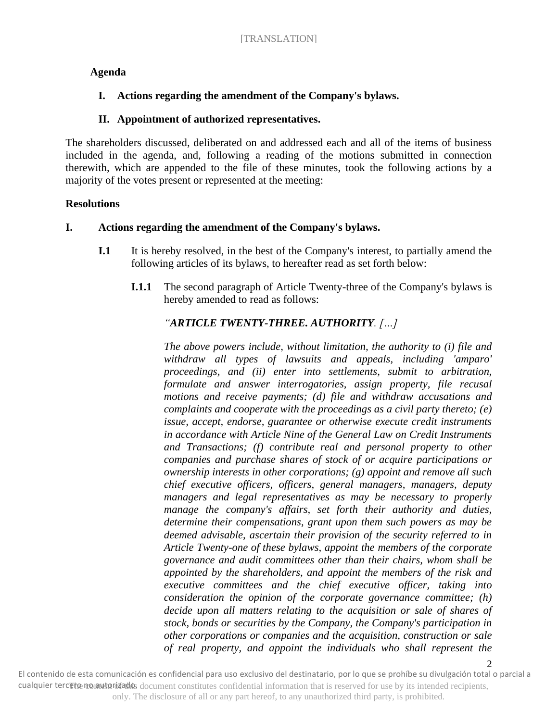# **Agenda**

# **I. Actions regarding the amendment of the Company's bylaws.**

# **II. Appointment of authorized representatives.**

The shareholders discussed, deliberated on and addressed each and all of the items of business included in the agenda, and, following a reading of the motions submitted in connection therewith, which are appended to the file of these minutes, took the following actions by a majority of the votes present or represented at the meeting:

## **Resolutions**

## **I. Actions regarding the amendment of the Company's bylaws.**

- **I.1** It is hereby resolved, in the best of the Company's interest, to partially amend the following articles of its bylaws, to hereafter read as set forth below:
	- **I.1.1** The second paragraph of Article Twenty-three of the Company's bylaws is hereby amended to read as follows:

# *"ARTICLE TWENTY-THREE. AUTHORITY. […]*

*The above powers include, without limitation, the authority to (i) file and withdraw all types of lawsuits and appeals, including 'amparo' proceedings, and (ii) enter into settlements, submit to arbitration, formulate and answer interrogatories, assign property, file recusal motions and receive payments; (d) file and withdraw accusations and complaints and cooperate with the proceedings as a civil party thereto; (e) issue, accept, endorse, guarantee or otherwise execute credit instruments in accordance with Article Nine of the General Law on Credit Instruments and Transactions; (f) contribute real and personal property to other companies and purchase shares of stock of or acquire participations or ownership interests in other corporations; (g) appoint and remove all such chief executive officers, officers, general managers, managers, deputy managers and legal representatives as may be necessary to properly manage the company's affairs, set forth their authority and duties, determine their compensations, grant upon them such powers as may be deemed advisable, ascertain their provision of the security referred to in Article Twenty-one of these bylaws, appoint the members of the corporate governance and audit committees other than their chairs, whom shall be appointed by the shareholders, and appoint the members of the risk and executive committees and the chief executive officer, taking into consideration the opinion of the corporate governance committee; (h) decide upon all matters relating to the acquisition or sale of shares of stock, bonds or securities by the Company, the Company's participation in other corporations or companies and the acquisition, construction or sale of real property, and appoint the individuals who shall represent the* 

2 cualquier terceto no autorizado, document constitutes confidential information that is reserved for use by its intended recipients, only. The disclosure of all or any part hereof, to any unauthorized third party, is prohibited. El contenido de esta comunicación es confidencial para uso exclusivo del destinatario, por lo que se prohíbe su divulgación total o parcial a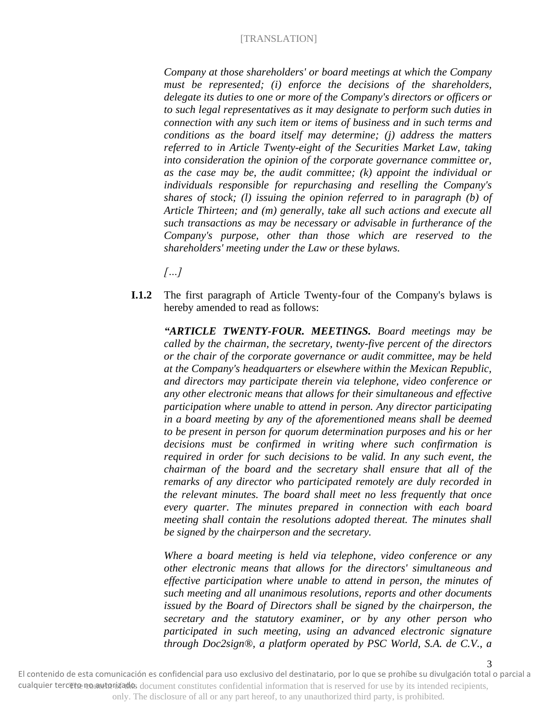*Company at those shareholders' or board meetings at which the Company must be represented; (i) enforce the decisions of the shareholders, delegate its duties to one or more of the Company's directors or officers or to such legal representatives as it may designate to perform such duties in connection with any such item or items of business and in such terms and conditions as the board itself may determine; (j) address the matters referred to in Article Twenty-eight of the Securities Market Law, taking into consideration the opinion of the corporate governance committee or, as the case may be, the audit committee; (k) appoint the individual or individuals responsible for repurchasing and reselling the Company's shares of stock; (l) issuing the opinion referred to in paragraph (b) of Article Thirteen; and (m) generally, take all such actions and execute all such transactions as may be necessary or advisable in furtherance of the Company's purpose, other than those which are reserved to the shareholders' meeting under the Law or these bylaws.*

*[…]*

**I.1.2** The first paragraph of Article Twenty-four of the Company's bylaws is hereby amended to read as follows:

*"ARTICLE TWENTY-FOUR. MEETINGS. Board meetings may be called by the chairman, the secretary, twenty-five percent of the directors or the chair of the corporate governance or audit committee, may be held at the Company's headquarters or elsewhere within the Mexican Republic, and directors may participate therein via telephone, video conference or any other electronic means that allows for their simultaneous and effective participation where unable to attend in person. Any director participating in a board meeting by any of the aforementioned means shall be deemed to be present in person for quorum determination purposes and his or her decisions must be confirmed in writing where such confirmation is required in order for such decisions to be valid. In any such event, the chairman of the board and the secretary shall ensure that all of the remarks of any director who participated remotely are duly recorded in the relevant minutes. The board shall meet no less frequently that once every quarter. The minutes prepared in connection with each board meeting shall contain the resolutions adopted thereat. The minutes shall be signed by the chairperson and the secretary.*

*Where a board meeting is held via telephone, video conference or any other electronic means that allows for the directors' simultaneous and effective participation where unable to attend in person, the minutes of such meeting and all unanimous resolutions, reports and other documents issued by the Board of Directors shall be signed by the chairperson, the secretary and the statutory examiner, or by any other person who participated in such meeting, using an advanced electronic signature through Doc2sign®, a platform operated by PSC World, S.A. de C.V., a*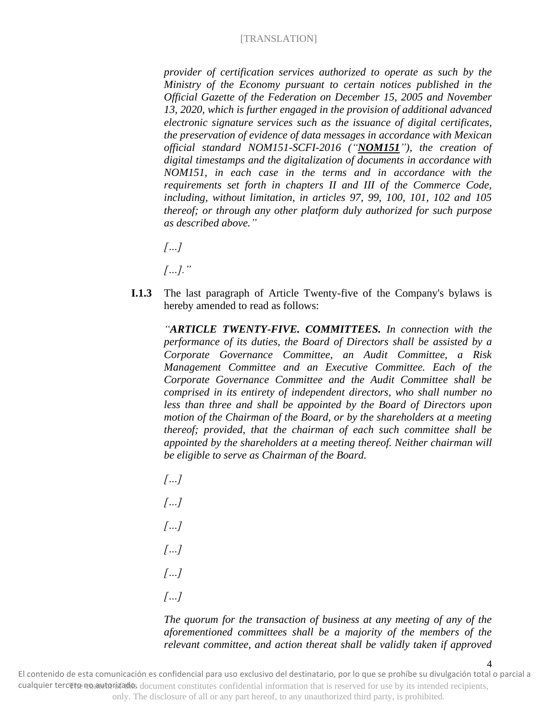*provider of certification services authorized to operate as such by the Ministry of the Economy pursuant to certain notices published in the Official Gazette of the Federation on December 15, 2005 and November 13, 2020, which is further engaged in the provision of additional advanced electronic signature services such as the issuance of digital certificates, the preservation of evidence of data messages in accordance with Mexican official standard NOM151-SCFI-2016 ("NOM151"), the creation of digital timestamps and the digitalization of documents in accordance with NOM151, in each case in the terms and in accordance with the requirements set forth in chapters II and III of the Commerce Code, including, without limitation, in articles 97, 99, 100, 101, 102 and 105 thereof; or through any other platform duly authorized for such purpose as described above."*

*[…]*

*[…]."*

**I.1.3** The last paragraph of Article Twenty-five of the Company's bylaws is hereby amended to read as follows:

*"ARTICLE TWENTY-FIVE. COMMITTEES. In connection with the performance of its duties, the Board of Directors shall be assisted by a Corporate Governance Committee, an Audit Committee, a Risk Management Committee and an Executive Committee. Each of the Corporate Governance Committee and the Audit Committee shall be comprised in its entirety of independent directors, who shall number no less than three and shall be appointed by the Board of Directors upon motion of the Chairman of the Board, or by the shareholders at a meeting thereof; provided, that the chairman of each such committee shall be appointed by the shareholders at a meeting thereof. Neither chairman will be eligible to serve as Chairman of the Board.* 

*[…] […] […] […] […] […]*

### *The quorum for the transaction of business at any meeting of any of the aforementioned committees shall be a majority of the members of the relevant committee, and action thereat shall be validly taken if approved*

4 cualquier terceto no autorizado, document constitutes confidential information that is reserved for use by its intended recipients, only. The disclosure of all or any part hereof, to any unauthorized third party, is prohibited. El contenido de esta comunicación es confidencial para uso exclusivo del destinatario, por lo que se prohíbe su divulgación total o parcial a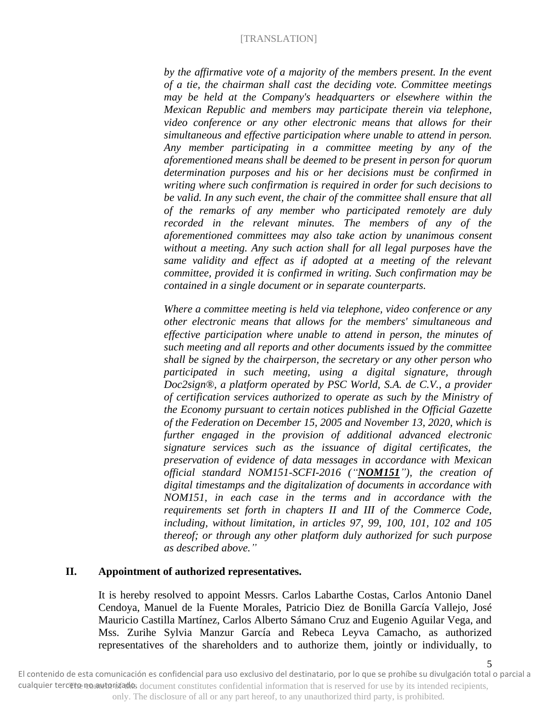*by the affirmative vote of a majority of the members present. In the event of a tie, the chairman shall cast the deciding vote. Committee meetings may be held at the Company's headquarters or elsewhere within the Mexican Republic and members may participate therein via telephone, video conference or any other electronic means that allows for their simultaneous and effective participation where unable to attend in person. Any member participating in a committee meeting by any of the aforementioned means shall be deemed to be present in person for quorum determination purposes and his or her decisions must be confirmed in writing where such confirmation is required in order for such decisions to be valid. In any such event, the chair of the committee shall ensure that all of the remarks of any member who participated remotely are duly recorded in the relevant minutes. The members of any of the aforementioned committees may also take action by unanimous consent without a meeting. Any such action shall for all legal purposes have the same validity and effect as if adopted at a meeting of the relevant committee, provided it is confirmed in writing. Such confirmation may be contained in a single document or in separate counterparts.*

*Where a committee meeting is held via telephone, video conference or any other electronic means that allows for the members' simultaneous and effective participation where unable to attend in person, the minutes of such meeting and all reports and other documents issued by the committee shall be signed by the chairperson, the secretary or any other person who participated in such meeting, using a digital signature, through Doc2sign®, a platform operated by PSC World, S.A. de C.V., a provider of certification services authorized to operate as such by the Ministry of the Economy pursuant to certain notices published in the Official Gazette of the Federation on December 15, 2005 and November 13, 2020, which is further engaged in the provision of additional advanced electronic signature services such as the issuance of digital certificates, the preservation of evidence of data messages in accordance with Mexican official standard NOM151-SCFI-2016 ("NOM151"), the creation of digital timestamps and the digitalization of documents in accordance with NOM151, in each case in the terms and in accordance with the requirements set forth in chapters II and III of the Commerce Code, including, without limitation, in articles 97, 99, 100, 101, 102 and 105 thereof; or through any other platform duly authorized for such purpose as described above."*

## **II. Appointment of authorized representatives.**

It is hereby resolved to appoint Messrs. Carlos Labarthe Costas, Carlos Antonio Danel Cendoya, Manuel de la Fuente Morales, Patricio Diez de Bonilla García Vallejo, José Mauricio Castilla Martínez, Carlos Alberto Sámano Cruz and Eugenio Aguilar Vega, and Mss. Zurihe Sylvia Manzur García and Rebeca Leyva Camacho, as authorized representatives of the shareholders and to authorize them, jointly or individually, to

5